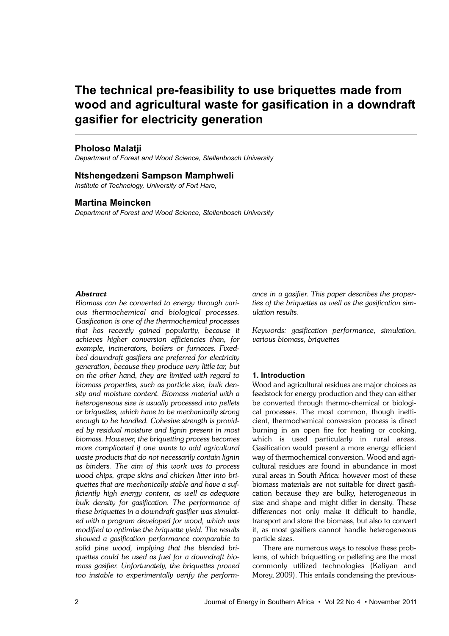# **The technical pre-feasibility to use briquettes made from wood and agricultural waste for gasification in a downdraft gasifier for electricity generation**

# **Pholoso Malatji**

*Department of Forest and Wood Science, Stellenbosch University*

## **Ntshengedzeni Sampson Mamphweli**

*Institute of Technology, University of Fort Hare,*

# **Martina Meincken**

*Department of Forest and Wood Science, Stellenbosch University*

#### *Abstract*

*Biomass can be converted to energy through various thermochemical and biological processes. Gasification is one of the thermochemical processes that has recently gained popularity, because it achieves higher conversion efficiencies than, for example, incinerators, boilers or furnaces. Fixedbed downdraft gasifiers are preferred for electricity generation, because they produce very little tar, but on the other hand, they are limited with regard to biomass properties, such as particle size, bulk density and moisture content. Biomass material with a heterogeneous size is usually processed into pellets or briquettes, which have to be mechanically strong enough to be handled. Cohesive strength is provided by residual moisture and lignin present in most biomass. However, the briquetting process becomes more complicated if one wants to add agricultural waste products that do not necessarily contain lignin as binders. The aim of this work was to process wood chips, grape skins and chicken litter into briquettes that are mechanically stable and have a sufficiently high energy content, as well as adequate bulk density for gasification. The performance of these briquettes in a downdraft gasifier was simulated with a program developed for wood, which was modified to optimise the briquette yield. The results showed a gasification performance comparable to solid pine wood, implying that the blended briquettes could be used as fuel for a downdraft biomass gasifier. Unfortunately, the briquettes proved too instable to experimentally verify the perform-* *ance in a gasifier. This paper describes the properties of the briquettes as well as the gasification simulation results.* 

*Keywords: gasification performance, simulation, various biomass, briquettes*

## **1. Introduction**

Wood and agricultural residues are major choices as feedstock for energy production and they can either be converted through thermo-chemical or biological processes. The most common, though inefficient, thermochemical conversion process is direct burning in an open fire for heating or cooking, which is used particularly in rural areas. Gasification would present a more energy efficient way of thermochemical conversion. Wood and agricultural residues are found in abundance in most rural areas in South Africa; however most of these biomass materials are not suitable for direct gasification because they are bulky, heterogeneous in size and shape and might differ in density. These differences not only make it difficult to handle, transport and store the biomass, but also to convert it, as most gasifiers cannot handle heterogeneous particle sizes.

There are numerous ways to resolve these problems, of which briquetting or pelleting are the most commonly utilized technologies (Kaliyan and Morey, 2009). This entails condensing the previous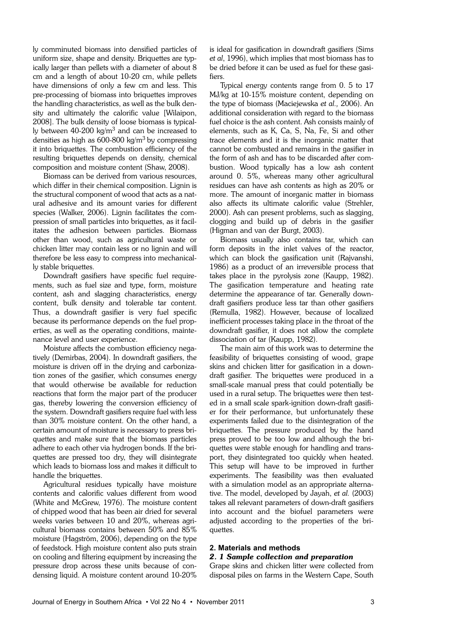ly comminuted biomass into densified particles of uniform size, shape and density. Briquettes are typically larger than pellets with a diameter of about 8 cm and a length of about 10-20 cm, while pellets have dimensions of only a few cm and less. This pre-processing of biomass into briquettes improves the handling characteristics, as well as the bulk density and ultimately the calorific value [Wilaipon, 2008]. The bulk density of loose biomass is typically between  $40-200$  kg/m<sup>3</sup> and can be increased to densities as high as  $600-800$  kg/m<sup>3</sup> by compressing it into briquettes. The combustion efficiency of the resulting briquettes depends on density, chemical composition and moisture content (Shaw, 2008).

Biomass can be derived from various resources, which differ in their chemical composition. Lignin is the structural component of wood that acts as a natural adhesive and its amount varies for different species (Walker, 2006). Lignin facilitates the compression of small particles into briquettes, as it facilitates the adhesion between particles. Biomass other than wood, such as agricultural waste or chicken litter may contain less or no lignin and will therefore be less easy to compress into mechanically stable briquettes.

Downdraft gasifiers have specific fuel requirements, such as fuel size and type, form, moisture content, ash and slagging characteristics, energy content, bulk density and tolerable tar content. Thus, a downdraft gasifier is very fuel specific because its performance depends on the fuel properties, as well as the operating conditions, maintenance level and user experience.

Moisture affects the combustion efficiency negatively (Demirbas, 2004). In downdraft gasifiers, the moisture is driven off in the drying and carbonization zones of the gasifier, which consumes energy that would otherwise be available for reduction reactions that form the major part of the producer gas, thereby lowering the conversion efficiency of the system. Downdraft gasifiers require fuel with less than 30% moisture content. On the other hand, a certain amount of moisture is necessary to press briquettes and make sure that the biomass particles adhere to each other via hydrogen bonds. If the briquettes are pressed too dry, they will disintegrate which leads to biomass loss and makes it difficult to handle the briquettes.

Agricultural residues typically have moisture contents and calorific values different from wood (White and McGrew, 1976). The moisture content of chipped wood that has been air dried for several weeks varies between 10 and 20%, whereas agricultural biomass contains between 50% and 85% moisture (Hagström, 2006), depending on the type of feedstock. High moisture content also puts strain on cooling and filtering equipment by increasing the pressure drop across these units because of condensing liquid. A moisture content around 10-20%

is ideal for gasification in downdraft gasifiers (Sims *et al*, 1996), which implies that most biomass has to be dried before it can be used as fuel for these gasifiers.

Typical energy contents range from 0. 5 to 17 MJ/kg at 10-15% moisture content, depending on the type of biomass (Maciejewska *et al.,* 2006). An additional consideration with regard to the biomass fuel choice is the ash content. Ash consists mainly of elements, such as K, Ca, S, Na, Fe, Si and other trace elements and it is the inorganic matter that cannot be combusted and remains in the gasifier in the form of ash and has to be discarded after combustion. Wood typically has a low ash content around 0. 5%, whereas many other agricultural residues can have ash contents as high as 20% or more. The amount of inorganic matter in biomass also affects its ultimate calorific value (Strehler, 2000). Ash can present problems, such as slagging, clogging and build up of debris in the gasifier (Higman and van der Burgt, 2003).

Biomass usually also contains tar, which can form deposits in the inlet valves of the reactor, which can block the gasification unit (Rajvanshi, 1986) as a product of an irreversible process that takes place in the pyrolysis zone (Kaupp, 1982). The gasification temperature and heating rate determine the appearance of tar. Generally downdraft gasifiers produce less tar than other gasifiers (Remulla, 1982). However, because of localized inefficient processes taking place in the throat of the downdraft gasifier, it does not allow the complete dissociation of tar (Kaupp, 1982).

The main aim of this work was to determine the feasibility of briquettes consisting of wood, grape skins and chicken litter for gasification in a downdraft gasifier. The briquettes were produced in a small-scale manual press that could potentially be used in a rural setup. The briquettes were then tested in a small scale spark-ignition down-draft gasifier for their performance, but unfortunately these experiments failed due to the disintegration of the briquettes. The pressure produced by the hand press proved to be too low and although the briquettes were stable enough for handling and transport, they disintegrated too quickly when heated. This setup will have to be improved in further experiments. The feasibility was then evaluated with a simulation model as an appropriate alternative. The model, developed by Jayah, *et al.* (2003) takes all relevant parameters of down-draft gasifiers into account and the biofuel parameters were adjusted according to the properties of the briquettes.

## **2. Materials and methods** *2. 1 Sample collection and preparation*

Grape skins and chicken litter were collected from disposal piles on farms in the Western Cape, South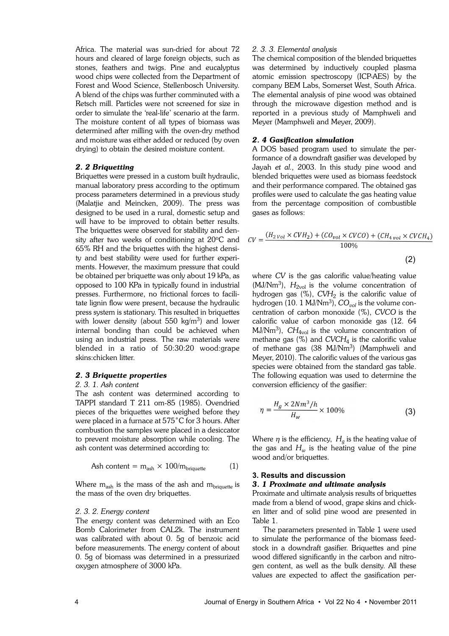Africa. The material was sun-dried for about 72 hours and cleared of large foreign objects, such as stones, feathers and twigs. Pine and eucalyptus wood chips were collected from the Department of Forest and Wood Science, Stellenbosch University. A blend of the chips was further comminuted with a Retsch mill. Particles were not screened for size in order to simulate the 'real-life' scenario at the farm. The moisture content of all types of biomass was determined after milling with the oven-dry method and moisture was either added or reduced (by oven drying) to obtain the desired moisture content.

#### *2. 2 Briquetting*

Briquettes were pressed in a custom built hydraulic, manual laboratory press according to the optimum process parameters determined in a previous study (Malatjie and Meincken, 2009). The press was designed to be used in a rural, domestic setup and will have to be improved to obtain better results. The briquettes were observed for stability and density after two weeks of conditioning at  $20^{\circ}$ C and 65% RH and the briquettes with the highest density and best stability were used for further experiments. However, the maximum pressure that could be obtained per briquette was only about 19 kPa, as opposed to 100 KPa in typically found in industrial presses. Furthermore, no frictional forces to facilitate lignin flow were present, because the hydraulic press system is stationary. This resulted in briquettes with lower density (about  $550 \text{ kg/m}^3$ ) and lower internal bonding than could be achieved when using an industrial press. The raw materials were blended in a ratio of 50:30:20 wood:grape skins:chicken litter.

# *2. 3 Briquette properties*

## *2. 3. 1. Ash content*

The ash content was determined according to TAPPI standard T 211 om-85 (1985). Ovendried pieces of the briquettes were weighed before they were placed in a furnace at 575˚C for 3 hours. After combustion the samples were placed in a desiccator to prevent moisture absorption while cooling. The ash content was determined according to:

$$
Ash content = mash × 100/mbriquette (1)
$$

Where  $m_{ash}$  is the mass of the ash and  $m_{briquette}$  is the mass of the oven dry briquettes.

#### *2. 3. 2. Energy content*

The energy content was determined with an Eco Bomb Calorimeter from CAL2k. The instrument was calibrated with about 0. 5g of benzoic acid before measurements. The energy content of about 0. 5g of biomass was determined in a pressurized oxygen atmosphere of 3000 kPa.

#### *2. 3. 3. Elemental analysis*

The chemical composition of the blended briquettes was determined by inductively coupled plasma atomic emission spectroscopy (ICP-AES) by the company BEM Labs, Somerset West, South Africa. The elemental analysis of pine wood was obtained through the microwave digestion method and is reported in a previous study of Mamphweli and Meyer (Mamphweli and Meyer, 2009).

## *2. 4 Gasification simulation*

A DOS based program used to simulate the performance of a downdraft gasifier was developed by Jayah *et al.,* 2003. In this study pine wood and blended briquettes were used as biomass feedstock and their performance compared. The obtained gas profiles were used to calculate the gas heating value from the percentage composition of combustible gases as follows:

$$
CV = \frac{(H_{2\,Vol} \times CVH_2) + (CO_{vol} \times CVCO) + (CH_{4\,vol} \times CVCH_4)}{100\%}
$$
\n(2)

where *CV* is the gas calorific value/heating value  $(MJ/Nm<sup>3</sup>)$ ,  $H<sub>2vol</sub>$  is the volume concentration of hydrogen gas (%),  $\mathit{CVI}_2$  is the calorific value of hydrogen (10. 1 MJ/Nm<sup>3</sup> ), *COvol* is the volume concentration of carbon monoxide (%), *CVCO* is the calorific value of carbon monoxide gas (12. 64 MJ/Nm<sup>3</sup> ), *CH*4vol is the volume concentration of methane gas (%) and *CVCH*<sup>4</sup> is the calorific value of methane gas (38 MJ/Nm<sup>3</sup>) (Mamphweli and Meyer, 2010). The calorific values of the various gas species were obtained from the standard gas table. The following equation was used to determine the conversion efficiency of the gasifier:

$$
\eta = \frac{H_g \times 2Nm^3/h}{H_w} \times 100\%
$$
 (3)

Where  $\eta$  is the efficiency,  $H_g$  is the heating value of the gas and  $H_w$  is the heating value of the pine wood and/or briquettes.

## **3. Results and discussion** *3. 1 Proximate and ultimate analysis*

Proximate and ultimate analysis results of briquettes made from a blend of wood, grape skins and chicken litter and of solid pine wood are presented in Table 1.

The parameters presented in Table 1 were used to simulate the performance of the biomass feedstock in a downdraft gasifier. Briquettes and pine wood differed significantly in the carbon and nitrogen content, as well as the bulk density. All these values are expected to affect the gasification per-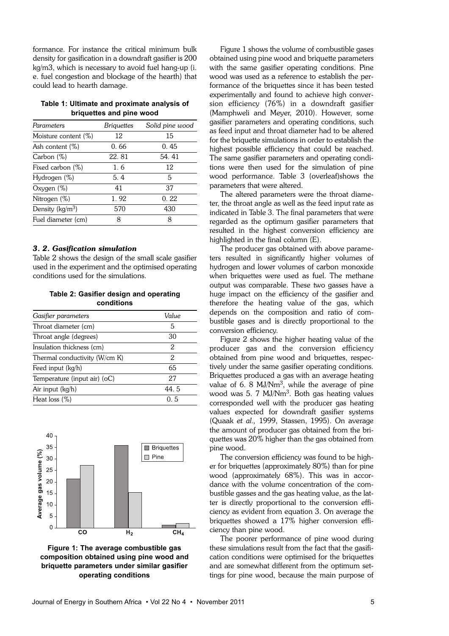formance. For instance the critical minimum bulk density for gasification in a downdraft gasifier is 200 kg/m3, which is necessary to avoid fuel hang-up (i. e. fuel congestion and blockage of the hearth) that could lead to hearth damage.

| Table 1: Ultimate and proximate analysis of |  |  |  |  |  |  |
|---------------------------------------------|--|--|--|--|--|--|
| briquettes and pine wood                    |  |  |  |  |  |  |

| Parameters           | Briguettes | Solid pine wood |
|----------------------|------------|-----------------|
| Moisture content (%) | 12         | 15              |
| Ash content $(\%)$   | 0.66       | 0.45            |
| Carbon $(\%)$        | 22.81      | 54.41           |
| Fixed carbon (%)     | 1.6        | 12              |
| Hydrogen (%)         | 5.4        | 5               |
| Oxygen (%)           | 41         | 37              |
| Nitrogen (%)         | 1.92       | 0.22            |
| Density ( $kg/m3$ )  | 570        | 430             |
| Fuel diameter (cm)   | 8          | 8               |

#### *3. 2. Gasification simulation*

Table 2 shows the design of the small scale gasifier used in the experiment and the optimised operating conditions used for the simulations.

## **Table 2: Gasifier design and operating conditions**

| Gasifier parameters           | Value |  |  |
|-------------------------------|-------|--|--|
| Throat diameter (cm)          | 5     |  |  |
| Throat angle (degrees)        | 30    |  |  |
| Insulation thickness (cm)     | 2     |  |  |
| Thermal conductivity (W/cm K) | 2     |  |  |
| Feed input (kg/h)             | 65    |  |  |
| Temperature (input air) (oC)  | 27    |  |  |
| Air input (kg/h)              | 44.5  |  |  |
| Heat loss $(\%)$              | ი 5   |  |  |





Figure 1 shows the volume of combustible gases obtained using pine wood and briquette parameters with the same gasifier operating conditions. Pine wood was used as a reference to establish the performance of the briquettes since it has been tested experimentally and found to achieve high conversion efficiency (76%) in a downdraft gasifier (Mamphweli and Meyer, 2010). However, some gasifier parameters and operating conditions, such as feed input and throat diameter had to be altered for the briquette simulations in order to establish the highest possible efficiency that could be reached. The same gasifier parameters and operating conditions were then used for the simulation of pine wood performance. Table 3 (overleaf)shows the parameters that were altered.

The altered parameters were the throat diameter, the throat angle as well as the feed input rate as indicated in Table 3. The final parameters that were regarded as the optimum gasifier parameters that resulted in the highest conversion efficiency are highlighted in the final column (E).

The producer gas obtained with above parameters resulted in significantly higher volumes of hydrogen and lower volumes of carbon monoxide when briquettes were used as fuel. The methane output was comparable. These two gasses have a huge impact on the efficiency of the gasifier and therefore the heating value of the gas, which depends on the composition and ratio of combustible gases and is directly proportional to the conversion efficiency.

Figure 2 shows the higher heating value of the producer gas and the conversion efficiency obtained from pine wood and briquettes, respectively under the same gasifier operating conditions. Briquettes produced a gas with an average heating value of 6. 8 MJ/Nm<sup>3</sup>, while the average of pine wood was 5. 7 MJ/Nm<sup>3</sup>. Both gas heating values corresponded well with the producer gas heating values expected for downdraft gasifier systems (Quaak *et al.,* 1999, Stassen, 1995). On average the amount of producer gas obtained from the briquettes was 20% higher than the gas obtained from pine wood.

The conversion efficiency was found to be higher for briquettes (approximately 80%) than for pine wood (approximately 68%). This was in accordance with the volume concentration of the combustible gasses and the gas heating value, as the latter is directly proportional to the conversion efficiency as evident from equation 3. On average the briquettes showed a 17% higher conversion efficiency than pine wood.

The poorer performance of pine wood during these simulations result from the fact that the gasification conditions were optimised for the briquettes and are somewhat different from the optimum settings for pine wood, because the main purpose of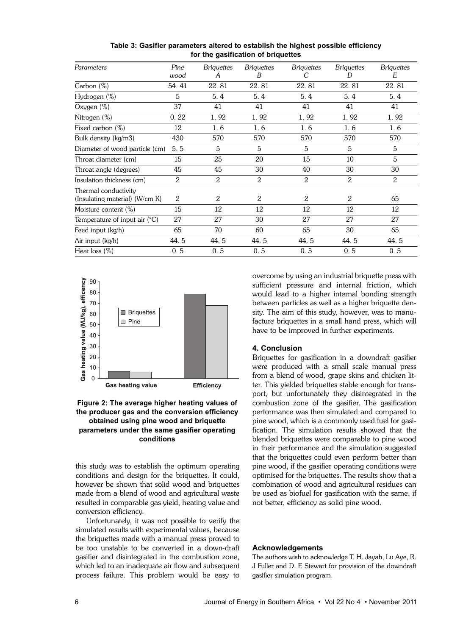| Parameters                      | Pine<br>wood | <b>Briquettes</b><br>A | <b>Briquettes</b><br>B | <b>Briquettes</b><br>С | <b>Briquettes</b><br>D | <b>Briquettes</b><br>E |
|---------------------------------|--------------|------------------------|------------------------|------------------------|------------------------|------------------------|
| Carbon $(\%)$                   | 54.41        | 22.81                  | 22.81                  | 22.81                  | 22.81                  | 22.81                  |
| Hydrogen (%)                    | 5            | 5.4                    | 5.4                    | 5.4                    | 5.4                    | 5.4                    |
| Oxygen (%)                      | 37           | 41                     | 41                     | 41                     | 41                     | 41                     |
| Nitrogen (%)                    | 0.22         | 1.92                   | 1.92                   | 1.92                   | 1.92                   | 1.92                   |
| Fixed carbon (%)                | 12           | 1.6                    | 1.6                    | 1.6                    | 1.6                    | 1.6                    |
| Bulk density (kg/m3)            | 430          | 570                    | 570                    | 570                    | 570                    | 570                    |
| Diameter of wood particle (cm)  | 5.5          | 5                      | 5                      | 5                      | 5                      | 5                      |
| Throat diameter (cm)            | 15           | 25                     | 20                     | 15                     | 10                     | 5                      |
| Throat angle (degrees)          | 45           | 45                     | 30                     | 40                     | 30                     | 30                     |
| Insulation thickness (cm)       | 2            | 2                      | $\mathbf{2}$           | 2                      | $\overline{2}$         | 2                      |
| Thermal conductivity            |              |                        |                        |                        |                        |                        |
| (Insulating material) (W/cm K)  | 2            | 2                      | $\overline{2}$         | 2                      | 2                      | 65                     |
| Moisture content (%)            | 15           | 12                     | 12                     | 12                     | 12                     | 12                     |
| Temperature of input air $(°C)$ | 27           | 27                     | 30                     | 27                     | 27                     | 27                     |
| Feed input (kg/h)               | 65           | 70                     | 60                     | 65                     | 30                     | 65                     |
| Air input (kg/h)                | 44. 5        | 44.5                   | 44.5                   | 44.5                   | 44.5                   | 44.5                   |
| Heat loss (%)                   | 0.5          | 0.5                    | 0.5                    | 0.5                    | 0.5                    | 0.5                    |

**Table 3: Gasifier parameters altered to establish the highest possible efficiency for the gasification of briquettes**





this study was to establish the optimum operating conditions and design for the briquettes. It could, however be shown that solid wood and briquettes made from a blend of wood and agricultural waste resulted in comparable gas yield, heating value and conversion efficiency.

Unfortunately, it was not possible to verify the simulated results with experimental values, because the briquettes made with a manual press proved to be too unstable to be converted in a down-draft gasifier and disintegrated in the combustion zone, which led to an inadequate air flow and subsequent process failure. This problem would be easy to

overcome by using an industrial briquette press with sufficient pressure and internal friction, which would lead to a higher internal bonding strength between particles as well as a higher briquette density. The aim of this study, however, was to manufacture briquettes in a small hand press, which will have to be improved in further experiments.

## **4. Conclusion**

Briquettes for gasification in a downdraft gasifier were produced with a small scale manual press from a blend of wood, grape skins and chicken litter. This yielded briquettes stable enough for transport, but unfortunately they disintegrated in the combustion zone of the gasifier. The gasification performance was then simulated and compared to pine wood, which is a commonly used fuel for gasification. The simulation results showed that the blended briquettes were comparable to pine wood in their performance and the simulation suggested that the briquettes could even perform better than pine wood, if the gasifier operating conditions were optimised for the briquettes. The results show that a combination of wood and agricultural residues can be used as biofuel for gasification with the same, if not better, efficiency as solid pine wood.

#### **Acknowledgements**

The authors wish to acknowledge T. H. Jayah, Lu Aye, R. J Fuller and D. F. Stewart for provision of the downdraft gasifier simulation program.